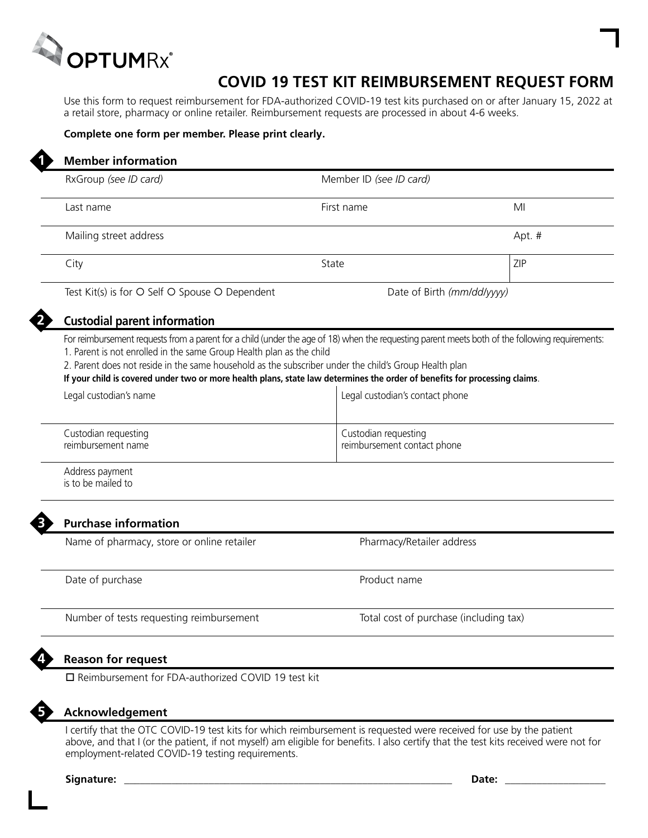

## **COVID 19 TEST KIT REIMBURSEMENT REQUEST FORM**

Use this form to request reimbursement for FDA-authorized COVID-19 test kits purchased on or after January 15, 2022 at a retail store, pharmacy or online retailer. Reimbursement requests are processed in about 4-6 weeks.

## **Complete one form per member. Please print clearly.**

| RxGroup (see ID card)                                                                                                                                                                                                                                                                                                                                                                                                                                          | Member ID (see ID card)         |                                        |  |
|----------------------------------------------------------------------------------------------------------------------------------------------------------------------------------------------------------------------------------------------------------------------------------------------------------------------------------------------------------------------------------------------------------------------------------------------------------------|---------------------------------|----------------------------------------|--|
| Last name                                                                                                                                                                                                                                                                                                                                                                                                                                                      | First name                      | MI                                     |  |
| Mailing street address                                                                                                                                                                                                                                                                                                                                                                                                                                         |                                 | Apt. #                                 |  |
| City                                                                                                                                                                                                                                                                                                                                                                                                                                                           | State                           | ZIP                                    |  |
| Test Kit(s) is for O Self O Spouse O Dependent                                                                                                                                                                                                                                                                                                                                                                                                                 | Date of Birth (mm/dd/yyyy)      |                                        |  |
| <b>Custodial parent information</b>                                                                                                                                                                                                                                                                                                                                                                                                                            |                                 |                                        |  |
| For reimbursement requests from a parent for a child (under the age of 18) when the requesting parent meets both of the following requirements:<br>1. Parent is not enrolled in the same Group Health plan as the child<br>2. Parent does not reside in the same household as the subscriber under the child's Group Health plan<br>If your child is covered under two or more health plans, state law determines the order of benefits for processing claims. |                                 |                                        |  |
| Legal custodian's name                                                                                                                                                                                                                                                                                                                                                                                                                                         | Legal custodian's contact phone |                                        |  |
| Custodian requesting<br>reimbursement name                                                                                                                                                                                                                                                                                                                                                                                                                     | Custodian requesting            | reimbursement contact phone            |  |
| Address payment<br>is to be mailed to                                                                                                                                                                                                                                                                                                                                                                                                                          |                                 |                                        |  |
| <b>Purchase information</b>                                                                                                                                                                                                                                                                                                                                                                                                                                    |                                 |                                        |  |
| Name of pharmacy, store or online retailer                                                                                                                                                                                                                                                                                                                                                                                                                     |                                 | Pharmacy/Retailer address              |  |
| Date of purchase                                                                                                                                                                                                                                                                                                                                                                                                                                               | Product name                    |                                        |  |
| Number of tests requesting reimbursement                                                                                                                                                                                                                                                                                                                                                                                                                       |                                 | Total cost of purchase (including tax) |  |
|                                                                                                                                                                                                                                                                                                                                                                                                                                                                |                                 |                                        |  |
| <b>Reason for request</b><br>□ Reimbursement for FDA-authorized COVID 19 test kit                                                                                                                                                                                                                                                                                                                                                                              |                                 |                                        |  |

## **Acknowledgement**

I certify that the OTC COVID-19 test kits for which reimbursement is requested were received for use by the patient above, and that I (or the patient, if not myself) am eligible for benefits. I also certify that the test kits received were not for employment-related COVID-19 testing requirements.

**Signature: \_\_\_\_\_\_\_\_\_\_\_\_\_\_\_\_\_\_\_\_\_\_\_\_\_\_\_\_\_\_\_\_\_\_\_\_\_\_\_\_\_\_\_\_\_\_\_\_\_\_\_\_\_\_\_\_\_\_\_\_\_\_ Date: \_\_\_\_\_\_\_\_\_\_\_\_\_\_\_\_\_\_\_**

**5**